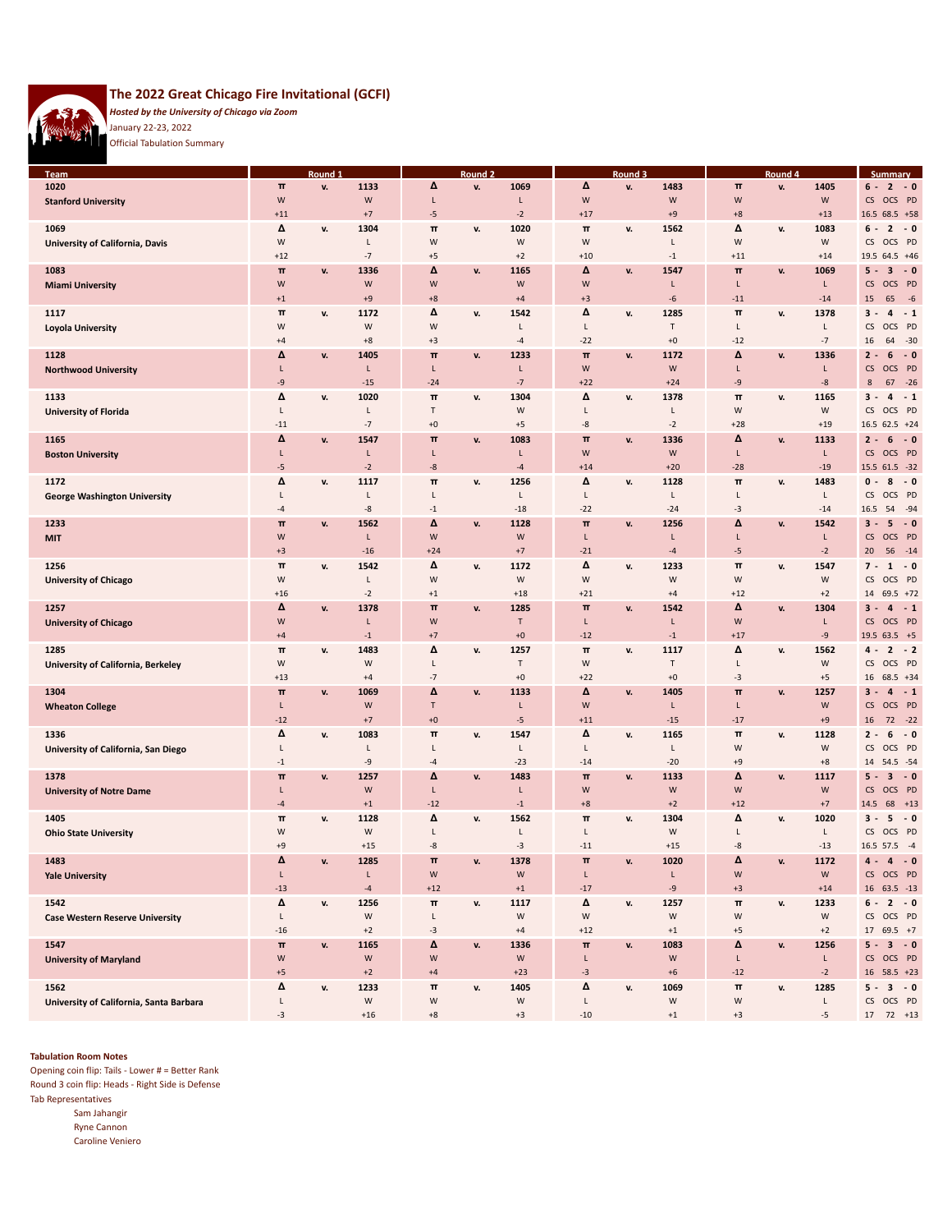

# **The 2022 Great Chicago Fire Invitational (GCFI)**

*Hosted by the University of Chicago via Zoom* January 22-23, 2022

Official Tabulation Summary

| <b>Team</b>                             |              | <u>Round</u> |       |             | Round <sub>2</sub> |              |       | Round 3 |             |             | Round 4 |           | <b>Summary</b>                  |
|-----------------------------------------|--------------|--------------|-------|-------------|--------------------|--------------|-------|---------|-------------|-------------|---------|-----------|---------------------------------|
| 1020                                    | $\pi$        | v.           | 1133  | Δ           | v.                 | 1069         | Δ     | v.      | 1483        | $\pi$       | v.      | 1405      | $\overline{2}$<br>$-0$<br>6 -   |
|                                         |              |              |       |             |                    |              |       |         |             |             |         |           |                                 |
| <b>Stanford University</b>              | W            |              | W     | L           |                    | L            | W     |         | W           | W           |         | ${\sf W}$ | CS OCS PD                       |
|                                         | $+11$        |              | $+7$  | -5          |                    | $-2$         | $+17$ |         | $+9$        | $+8$        |         | $+13$     | 16.5 68.5 +58                   |
| 1069                                    | Δ            | v.           | 1304  | π           | v.                 | 1020         | π     | v.      | 1562        | Δ           | v.      | 1083      | $-0$<br>$6 -$<br>$\overline{2}$ |
|                                         | W            |              | L     | W           |                    | W            | W     |         | L           | W           |         | W         | OCS PD<br>CS                    |
| University of California, Davis         |              |              |       |             |                    |              |       |         |             |             |         |           |                                 |
|                                         | $+12$        |              | $-7$  | $+5$        |                    | $+2$         | $+10$ |         | $^{\rm -1}$ | $+11$       |         | $+14$     | 19.5 64.5 +46                   |
| 1083                                    | $\pi$        | v.           | 1336  | Δ           | v.                 | 1165         | Δ     | v.      | 1547        | $\pmb{\pi}$ | v.      | 1069      | $-0$<br>$5 -$<br>3              |
|                                         | W            |              | W     | W           |                    | W            | W     |         | L           | L           |         | L         | OCS PD<br>CS                    |
| <b>Miami University</b>                 |              |              |       |             |                    |              |       |         |             |             |         |           |                                 |
|                                         | $+1$         |              | $+9$  | $+8$        |                    | $+4$         | $+3$  |         | -6          | $-11$       |         | $-14$     | $-6$<br>15<br>65                |
| 1117                                    | $\pi$        | v.           | 1172  | Δ           | v.                 | 1542         | Δ     | v.      | 1285        | π           | v.      | 1378      | $-1$<br>$3 -$<br>4              |
|                                         | W            |              | W     | W           |                    | L            | Г     |         | $\sf T$     | L           |         | L         | CS<br>OCS PD                    |
| Loyola University                       |              |              |       |             |                    |              |       |         |             |             |         |           |                                 |
|                                         | $+4$         |              | $+8$  | $+3$        |                    | $-4$         | $-22$ |         | $+0$        | $-12$       |         | $-7$      | $-30$<br>16<br>64               |
| 1128                                    | Δ            | v.           | 1405  | π           | v.                 | 1233         | $\pi$ | v.      | 1172        | Δ           | v.      | 1336      | $-0$<br>$2 -$<br>6              |
| <b>Northwood University</b>             | L            |              | L     | L           |                    | L            | W     |         | W           | L           |         | L         | OCS PD<br>CS                    |
|                                         |              |              |       |             |                    |              |       |         |             |             |         |           |                                 |
|                                         | -9           |              | $-15$ | $-24$       |                    | $-7$         | $+22$ |         | $+24$       | -9          |         | -8        | $-26$<br>8<br>67                |
| 1133                                    | Δ            | v.           | 1020  | π           | v.                 | 1304         | Δ     | v.      | 1378        | π           | v.      | 1165      | $-1$<br>3 -<br>4                |
| <b>University of Florida</b>            | Г            |              | L     | т           |                    | W            | L     |         | Г           | W           |         | W         | CS<br>OCS PD                    |
|                                         | $-11$        |              | $-7$  | $\pm 0$     |                    | $+5$         | -8    |         | $-2$        | $+28$       |         | $+19$     | $16.5$ 62.5 +24                 |
|                                         |              |              |       |             |                    |              |       |         |             |             |         |           |                                 |
| 1165                                    | Δ            | v.           | 1547  | $\pi$       | v.                 | 1083         | $\pi$ | v.      | 1336        | Δ           | v.      | 1133      | $-0$<br>$2 -$<br>6              |
| <b>Boston University</b>                | L            |              | L     | L           |                    | L            | W     |         | W           | L           |         | L         | OCS PD<br>CS                    |
|                                         | -5           |              | $-2$  | -8          |                    | $-4$         |       |         | $+20$       | $-28$       |         | $-19$     | 15.5 61.5 -32                   |
|                                         |              |              |       |             |                    |              | $+14$ |         |             |             |         |           |                                 |
| 1172                                    | Δ            | v.           | 1117  | π           | v.                 | 1256         | Δ     | v.      | 1128        | π           | v.      | 1483      | $-0$<br>$\mathbf 0$ -<br>8      |
| <b>George Washington University</b>     | Г            |              | L     | L           |                    | L            | L     |         | L           | L           |         | Г         | OCS PD<br>CS                    |
|                                         | -4           |              | -8    | $-1$        |                    | $-18$        | $-22$ |         | $-24$       | -3          |         | $-14$     | $-94$<br>16.5<br>54             |
|                                         |              |              |       |             |                    |              |       |         |             |             |         |           |                                 |
| 1233                                    | $\pi$        | v.           | 1562  | Δ           | v.                 | 1128         | $\pi$ | v.      | 1256        | Δ           | v.      | 1542      | $\sim 0$<br>$3 -$<br>5          |
| <b>MIT</b>                              | W            |              | L     | W           |                    | W            | L     |         | L           | L           |         | L         | CS<br>OCS PD                    |
|                                         | $+3$         |              | $-16$ | $+24$       |                    | $+7$         | $-21$ |         | $-4$        | -5          |         | $-2$      | $-14$<br>20 <sub>2</sub><br>56  |
|                                         |              |              |       |             |                    |              |       |         |             |             |         |           |                                 |
| 1256                                    | $\pi$        | v.           | 1542  | Δ           | v.                 | 1172         | Δ     | v.      | 1233        | $\pmb{\pi}$ | v.      | 1547      | $7 -$<br>$-0$<br>1              |
| <b>University of Chicago</b>            | W            |              | L     | W           |                    | W            | W     |         | W           | W           |         | W         | OCS PD<br>CS                    |
|                                         | $+16$        |              | $-2$  | $+1$        |                    | $+18$        | $+21$ |         | $+4$        | $+12$       |         | $+2$      | $69.5$ +72<br>14                |
|                                         | Δ            |              |       | $\pi$       |                    |              | $\pi$ |         |             | Δ           |         |           |                                 |
| 1257                                    |              | v.           | 1378  |             | v.                 | 1285         |       | v.      | 1542        |             | v.      | 1304      | $-1$<br>$3 -$<br>4              |
| <b>University of Chicago</b>            | W            |              | L     | W           |                    | $\mathsf{T}$ | L     |         | L           | W           |         | L         | OCS PD<br>CS                    |
|                                         | $+4$         |              | $-1$  | $+7$        |                    | $+0$         | $-12$ |         | $-1$        | $+17$       |         | $-9$      | 19.5 63.5 +5                    |
| 1285                                    | $\pi$        | v.           | 1483  | Δ           | v.                 | 1257         | $\pi$ | v.      | 1117        | Δ           | v.      | 1562      | $-2$<br>4 -<br>$\mathbf{z}$     |
|                                         |              |              |       |             |                    |              |       |         |             |             |         |           |                                 |
| University of California, Berkeley      | W            |              | W     | L           |                    | $\mathsf{T}$ | W     |         | Т           | L           |         | W         | OCS PD<br>CS                    |
|                                         | $+13$        |              | $+4$  | $-7$        |                    | $+0$         | $+22$ |         | $+0$        | $-3$        |         | $+5$      | 16<br>$68.5 + 34$               |
| 1304                                    | $\pi$        | v.           | 1069  | Δ           | v.                 | 1133         | Δ     | v.      | 1405        | π           | v.      | 1257      | $-1$<br>$3 -$<br>4              |
|                                         |              |              |       |             |                    |              |       |         |             |             |         |           |                                 |
| <b>Wheaton College</b>                  | L            |              | W     | T           |                    | L            | W     |         | L           | L           |         | W         | OCS PD<br>CS                    |
|                                         | $-12$        |              | $+7$  | $+0$        |                    | $-5$         | $+11$ |         | $-15$       | $-17$       |         | $+9$      | 72<br>$-22$<br>16               |
| 1336                                    | Δ            | v.           | 1083  | $\pi$       | v.                 | 1547         | Δ     | v.      | 1165        | $\pmb{\pi}$ | v.      | 1128      | $-0$<br>$2 -$<br>6              |
|                                         | L            |              | L     | L           |                    | L            | L     |         | Г           | W           |         | W         | OCS PD<br>CS                    |
| University of California, San Diego     |              |              |       |             |                    |              |       |         |             |             |         |           |                                 |
|                                         | $-1$         |              | -9    | $-4$        |                    | $-23$        | $-14$ |         | $-20$       | $+9$        |         | $+8$      | 14<br>54.5 - 54                 |
| 1378                                    | $\mathbf{u}$ | v.           | 1257  | Δ           | v.                 | 1483         | $\pi$ | v.      | 1133        | Δ           | v.      | 1117      | $-0$<br>$5 -$<br>3              |
|                                         | L            |              | W     | L           |                    | L            | W     |         | W           | W           |         | ${\sf W}$ | OCS PD<br>CS                    |
| <b>University of Notre Dame</b>         |              |              |       |             |                    |              |       |         |             |             |         |           |                                 |
|                                         | $-4$         |              | $+1$  | $-12$       |                    | $-1$         | $+8$  |         | $+2$        | $+12$       |         | $+7$      | 68<br>$+13$<br>14.5             |
| 1405                                    | $\pi$        | v.           | 1128  | Δ           | v.                 | 1562         | π     | v.      | 1304        | Δ           | v.      | 1020      | $3 -$<br>5<br>$-0$              |
| <b>Ohio State University</b>            | W            |              | W     | L           |                    | L            | L     |         | W           | L           |         | L         | CS OCS PD                       |
|                                         |              |              |       |             |                    |              |       |         |             |             |         |           |                                 |
|                                         | $+9$         |              | $+15$ | -8          |                    | $-3$         | $-11$ |         | $+15$       | -8          |         | $-13$     | 16.5 57.5 -4                    |
| 1483                                    | Δ            | v.           | 1285  | $\pi$       | v.                 | 1378         | $\pi$ | v.      | 1020        | Δ           | v.      | 1172      | $4 -$<br>$\overline{4}$<br>$-0$ |
| <b>Yale University</b>                  | L            |              | L     | ${\sf W}$   |                    | W            | L     |         | L           | W           |         | ${\sf W}$ | CS OCS PD                       |
|                                         | $-13$        |              | $-4$  | $+12$       |                    | $+1$         | $-17$ |         | -9          |             |         |           |                                 |
|                                         |              |              |       |             |                    |              |       |         |             | $+3$        |         | $+14$     | 16 63.5 -13                     |
| 1542                                    | Δ            | v.           | 1256  | $\pmb{\pi}$ | v.                 | 1117         | Δ     | v.      | 1257        | π           | v.      | 1233      | 6 -<br>$2 - 0$                  |
| <b>Case Western Reserve University</b>  | L            |              | W     | Г           |                    | W            | W     |         | ${\sf W}$   | W           |         | W         | CS OCS PD                       |
|                                         | $-16$        |              | $+2$  | $-3$        |                    |              |       |         | $^{\rm +1}$ | $+5$        |         | $+2$      |                                 |
|                                         |              |              |       |             |                    | $+4$         | $+12$ |         |             |             |         |           | 17 69.5 +7                      |
| 1547                                    | $\mathbf{u}$ | v.           | 1165  | Δ           | v.                 | 1336         | π     | v.      | 1083        | Δ           | v.      | 1256      | $5 -$<br>$3 - 0$                |
| <b>University of Maryland</b>           | W            |              | W     | W           |                    | ${\sf W}$    | L     |         | ${\sf W}$   | L           |         | L.        | CS OCS PD                       |
|                                         | $+5$         |              | $+2$  | $+4$        |                    | $+23$        | $-3$  |         | $\pm 6$     | $-12$       |         | $-2$      | 16 58.5 +23                     |
|                                         |              |              |       |             |                    |              |       |         |             |             |         |           |                                 |
| 1562                                    | Δ            | v.           | 1233  | π           | v.                 | 1405         | Δ     | v.      | 1069        | $\pmb{\pi}$ | v.      | 1285      | $5 -$<br>$3 - 0$                |
| University of California, Santa Barbara | L            |              | W     | W           |                    | W            | L     |         | ${\sf W}$   | W           |         | L         | CS OCS PD                       |
|                                         |              |              | $+16$ | $^{\rm +8}$ |                    | $+3$         | $-10$ |         | $+1$        | $+3$        |         | $-5$      | 17 72 +13                       |

#### **Tabulation Room Notes**

Opening coin flip: Tails - Lower # = Better Rank Round 3 coin flip: Heads - Right Side is Defense Tab Representatives Sam Jahangir Ryne Cannon Caroline Veniero